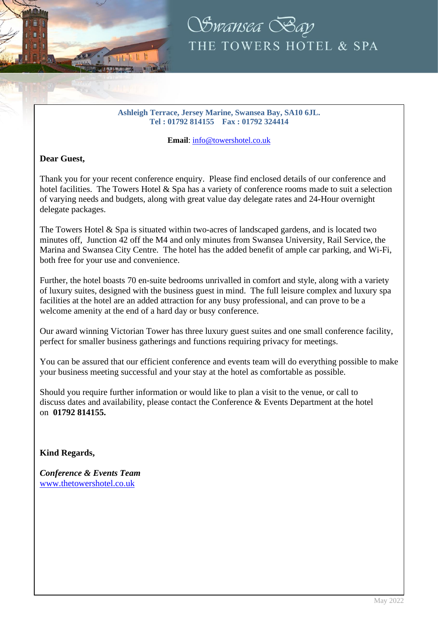



#### **Ashleigh Terrace, Jersey Marine, Swansea Bay, SA10 6JL. Tel : 01792 814155 Fax : 01792 324414**

**Email**[: info@towershotel.co.uk](mailto:info@towershotel.co.uk)

### **Dear Guest,**

Thank you for your recent conference enquiry. Please find enclosed details of our conference and hotel facilities. The Towers Hotel & Spa has a variety of conference rooms made to suit a selection of varying needs and budgets, along with great value day delegate rates and 24-Hour overnight delegate packages.

The Towers Hotel & Spa is situated within two-acres of landscaped gardens, and is located two minutes off, Junction 42 off the M4 and only minutes from Swansea University, Rail Service, the Marina and Swansea City Centre. The hotel has the added benefit of ample car parking, and Wi-Fi, both free for your use and convenience.

Further, the hotel boasts 70 en-suite bedrooms unrivalled in comfort and style, along with a variety of luxury suites, designed with the business guest in mind. The full leisure complex and luxury spa facilities at the hotel are an added attraction for any busy professional, and can prove to be a welcome amenity at the end of a hard day or busy conference.

Our award winning Victorian Tower has three luxury guest suites and one small conference facility, perfect for smaller business gatherings and functions requiring privacy for meetings.

You can be assured that our efficient conference and events team will do everything possible to make your business meeting successful and your stay at the hotel as comfortable as possible.

Should you require further information or would like to plan a visit to the venue, or call to discuss dates and availability, please contact the Conference & Events Department at the hotel on **01792 814155.**

### **Kind Regards,**

*Conference & Events Team* [www.thetowershotel.co.uk](http://www.thetowershotel.co.uk/)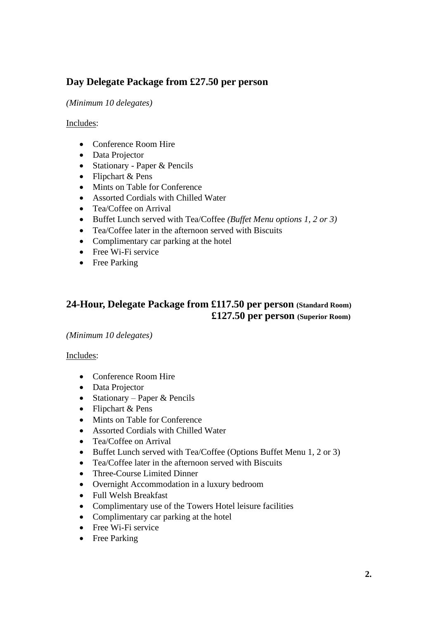# **Day Delegate Package from £27.50 per person**

### *(Minimum 10 delegates)*

### Includes:

- Conference Room Hire
- Data Projector
- Stationary Paper & Pencils
- Flipchart & Pens
- Mints on Table for Conference
- Assorted Cordials with Chilled Water
- Tea/Coffee on Arrival
- Buffet Lunch served with Tea/Coffee *(Buffet Menu options 1, 2 or 3)*
- Tea/Coffee later in the afternoon served with Biscuits
- Complimentary car parking at the hotel
- Free Wi-Fi service
- Free Parking

## **24-Hour, Delegate Package from £117.50 per person (Standard Room) £127.50 per person (Superior Room)**

#### *(Minimum 10 delegates)*

#### Includes:

- Conference Room Hire
- Data Projector
- Stationary Paper & Pencils
- Flipchart & Pens
- Mints on Table for Conference
- Assorted Cordials with Chilled Water
- Tea/Coffee on Arrival
- Buffet Lunch served with Tea/Coffee (Options Buffet Menu 1, 2 or 3)
- Tea/Coffee later in the afternoon served with Biscuits
- Three-Course Limited Dinner
- Overnight Accommodation in a luxury bedroom
- Full Welsh Breakfast
- Complimentary use of the Towers Hotel leisure facilities
- Complimentary car parking at the hotel
- Free Wi-Fi service
- Free Parking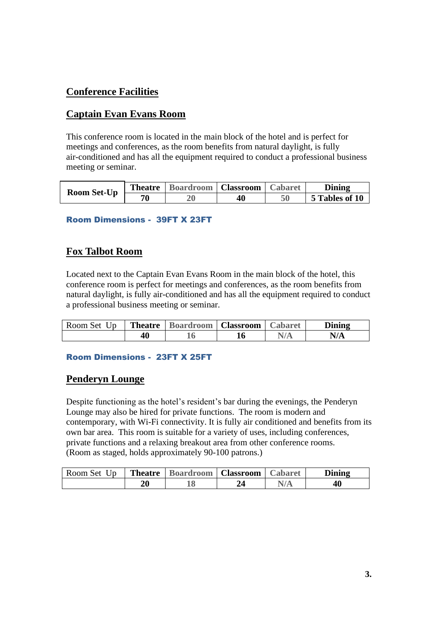# **Conference Facilities**

## **Captain Evan Evans Room**

This conference room is located in the main block of the hotel and is perfect for meetings and conferences, as the room benefits from natural daylight, is fully air-conditioned and has all the equipment required to conduct a professional business meeting or seminar.

| <b>Room Set-Up</b> | <b>Theatre</b> | <b>Boardroom</b>   <b>Classroom</b> |    | <b>Cabaret</b> | Dining         |
|--------------------|----------------|-------------------------------------|----|----------------|----------------|
|                    | 70             |                                     | 40 |                | 5 Tables of 10 |

### Room Dimensions - 39FT X 23FT

## **Fox Talbot Room**

Located next to the Captain Evan Evans Room in the main block of the hotel, this conference room is perfect for meetings and conferences, as the room benefits from natural daylight, is fully air-conditioned and has all the equipment required to conduct a professional business meeting or seminar.

| Room Set Up |    | <b>Theatre</b>   Boardroom   Classroom   Cabaret |  | Dining |
|-------------|----|--------------------------------------------------|--|--------|
|             | 40 |                                                  |  | N/A    |

#### Room Dimensions - 23FT X 25FT

## **Penderyn Lounge**

Despite functioning as the hotel's resident's bar during the evenings, the Penderyn Lounge may also be hired for private functions. The room is modern and contemporary, with Wi-Fi connectivity. It is fully air conditioned and benefits from its own bar area. This room is suitable for a variety of uses, including conferences, private functions and a relaxing breakout area from other conference rooms. (Room as staged, holds approximately 90-100 patrons.)

| Room Set Up |    | <b>Theatre</b>   Boardroom   Classroom   Cabaret |  | Dining |
|-------------|----|--------------------------------------------------|--|--------|
|             | 20 |                                                  |  | 40     |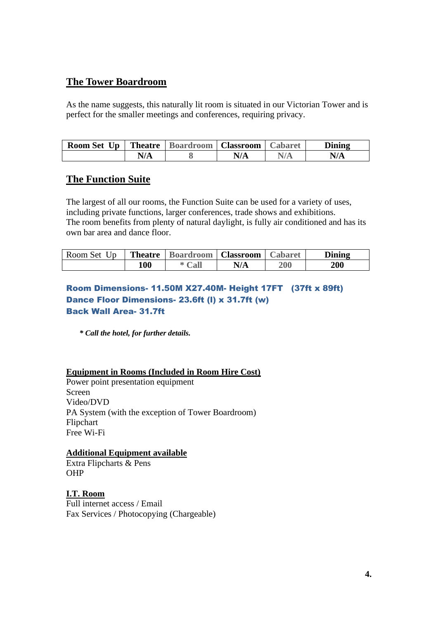## **The Tower Boardroom**

As the name suggests, this naturally lit room is situated in our Victorian Tower and is perfect for the smaller meetings and conferences, requiring privacy.

| $\mathbf{U}\mathbf{p}$<br><b>Room Set</b> | <b>Theatre</b>   Boardroom   Classroom |     | <b>Cabaret</b> | Dining |
|-------------------------------------------|----------------------------------------|-----|----------------|--------|
|                                           |                                        | N/A |                | N/A    |

## **The Function Suite**

The largest of all our rooms, the Function Suite can be used for a variety of uses, including private functions, larger conferences, trade shows and exhibitions. The room benefits from plenty of natural daylight, is fully air conditioned and has its own bar area and dance floor.

| Room Set Up | <b>Theatre</b> | <b>Boardroom</b>   <b>Classroom</b> |     | <b>Cabaret</b> | Dining     |
|-------------|----------------|-------------------------------------|-----|----------------|------------|
|             | 100            | $\mathbb{C}\mathbf{all}$            | N/A | <b>200</b>     | <b>200</b> |

### Room Dimensions- 11.50M X27.40M- Height 17FT (37ft x 89ft) Dance Floor Dimensions- 23.6ft (l) x 31.7ft (w) Back Wall Area- 31.7ft

*\* Call the hotel, for further details.*

### **Equipment in Rooms (Included in Room Hire Cost)**

Power point presentation equipment Screen Video/DVD PA System (with the exception of Tower Boardroom) Flipchart Free Wi-Fi

### **Additional Equipment available**

Extra Flipcharts & Pens OHP

**I.T. Room** Full internet access / Email Fax Services / Photocopying (Chargeable)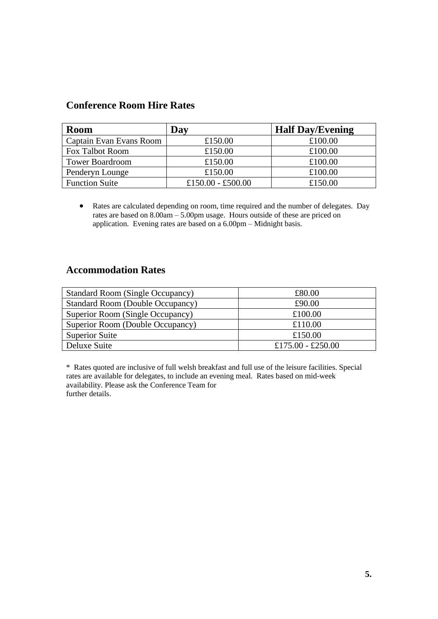## **Conference Room Hire Rates**

| <b>Room</b>             | Day               | <b>Half Day/Evening</b> |
|-------------------------|-------------------|-------------------------|
| Captain Evan Evans Room | £150.00           | £100.00                 |
| <b>Fox Talbot Room</b>  | £150.00           | £100.00                 |
| <b>Tower Boardroom</b>  | £150.00           | £100.00                 |
| Penderyn Lounge         | £150.00           | £100.00                 |
| <b>Function Suite</b>   | £150.00 - £500.00 | £150.00                 |

• Rates are calculated depending on room, time required and the number of delegates. Day rates are based on 8.00am – 5.00pm usage. Hours outside of these are priced on application. Evening rates are based on a 6.00pm – Midnight basis.

## **Accommodation Rates**

| <b>Standard Room (Single Occupancy)</b> | £80.00            |
|-----------------------------------------|-------------------|
| <b>Standard Room (Double Occupancy)</b> | £90.00            |
| Superior Room (Single Occupancy)        | £100.00           |
| Superior Room (Double Occupancy)        | £110.00           |
| <b>Superior Suite</b>                   | £150.00           |
| Deluxe Suite                            | £175.00 - £250.00 |

\* Rates quoted are inclusive of full welsh breakfast and full use of the leisure facilities. Special rates are available for delegates, to include an evening meal. Rates based on mid-week availability. Please ask the Conference Team for further details.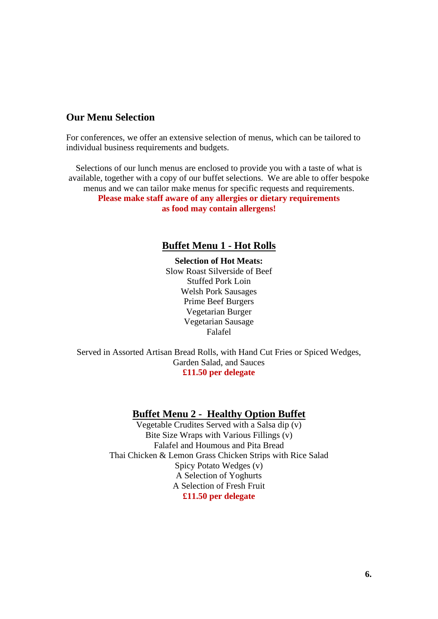## **Our Menu Selection**

For conferences, we offer an extensive selection of menus, which can be tailored to individual business requirements and budgets.

Selections of our lunch menus are enclosed to provide you with a taste of what is available, together with a copy of our buffet selections. We are able to offer bespoke menus and we can tailor make menus for specific requests and requirements. **Please make staff aware of any allergies or dietary requirements as food may contain allergens!**

### **Buffet Menu 1 - Hot Rolls**

**Selection of Hot Meats:** Slow Roast Silverside of Beef Stuffed Pork Loin Welsh Pork Sausages Prime Beef Burgers Vegetarian Burger Vegetarian Sausage Falafel

Served in Assorted Artisan Bread Rolls, with Hand Cut Fries or Spiced Wedges, Garden Salad, and Sauces **£11.50 per delegate**

#### **Buffet Menu 2 - Healthy Option Buffet**

Vegetable Crudites Served with a Salsa dip (v) Bite Size Wraps with Various Fillings (v) Falafel and Houmous and Pita Bread Thai Chicken & Lemon Grass Chicken Strips with Rice Salad Spicy Potato Wedges (v) A Selection of Yoghurts A Selection of Fresh Fruit **£11.50 per delegate**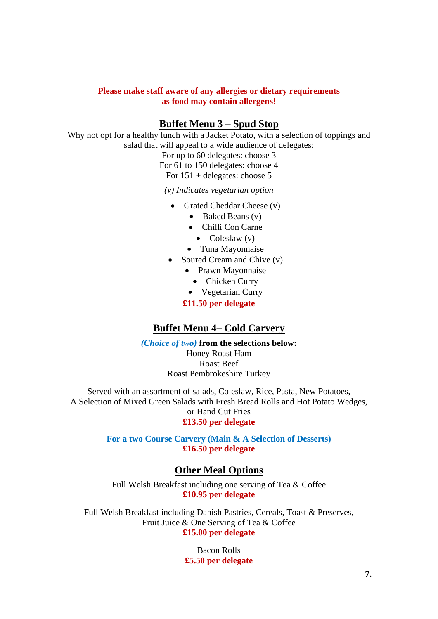#### **Please make staff aware of any allergies or dietary requirements as food may contain allergens!**

## **Buffet Menu 3 – Spud Stop**

Why not opt for a healthy lunch with a Jacket Potato, with a selection of toppings and salad that will appeal to a wide audience of delegates:

> For up to 60 delegates: choose 3 For 61 to 150 delegates: choose 4 For 151 + delegates: choose 5

*(v) Indicates vegetarian option*

- Grated Cheddar Cheese (v)
	- Baked Beans (v)
	- Chilli Con Carne
		- Coleslaw (v)
	- Tuna Mayonnaise
- Soured Cream and Chive (v)
	- Prawn Mayonnaise
		- Chicken Curry
	- Vegetarian Curry
	- **£11.50 per delegate**

## **Buffet Menu 4– Cold Carvery**

*(Choice of two)* **from the selections below:**

Honey Roast Ham Roast Beef Roast Pembrokeshire Turkey

Served with an assortment of salads, Coleslaw, Rice, Pasta, New Potatoes, A Selection of Mixed Green Salads with Fresh Bread Rolls and Hot Potato Wedges, or Hand Cut Fries **£13.50 per delegate**

> **For a two Course Carvery (Main & A Selection of Desserts) £16.50 per delegate**

## **Other Meal Options**

Full Welsh Breakfast including one serving of Tea & Coffee **£10.95 per delegate**

Full Welsh Breakfast including Danish Pastries, Cereals, Toast & Preserves, Fruit Juice & One Serving of Tea & Coffee **£15.00 per delegate**

> Bacon Rolls **£5.50 per delegate**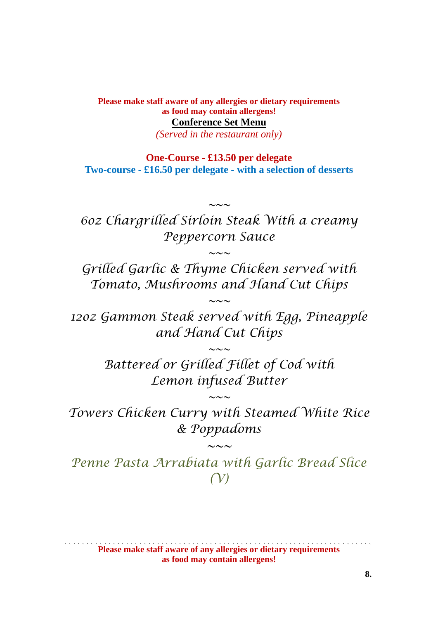**Please make staff aware of any allergies or dietary requirements as food may contain allergens! Conference Set Menu**

*(Served in the restaurant only)*

**One-Course - £13.50 per delegate Two-course - £16.50 per delegate - with a selection of desserts** 

*6oz Chargrilled Sirloin Steak With a creamy Peppercorn Sauce*

*~~~*

*~~~*

*Grilled Garlic & Thyme Chicken served with Tomato, Mushrooms and Hand Cut Chips*

*12oz Gammon Steak served with Egg, Pineapple and Hand Cut Chips*

*~~~*

*Battered or Grilled Fillet of Cod with Lemon infused Butter*

*~~~*

*Towers Chicken Curry with Steamed White Rice & Poppadoms*

*~~~*

*~~~*

*Penne Pasta Arrabiata with Garlic Bread Slice (V)*

**Please make staff aware of any allergies or dietary requirements as food may contain allergens!**

**8.**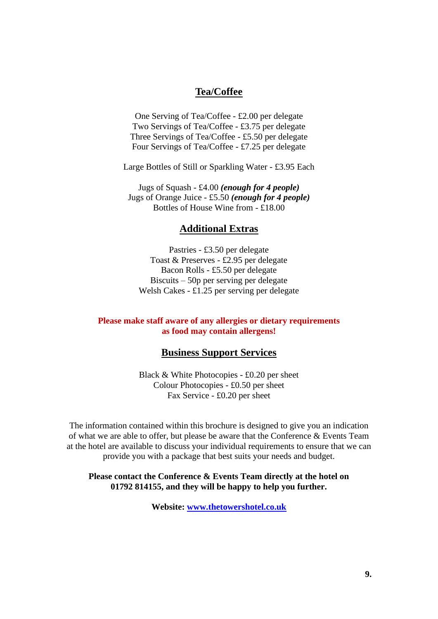#### **Tea/Coffee**

One Serving of Tea/Coffee - £2.00 per delegate Two Servings of Tea/Coffee - £3.75 per delegate Three Servings of Tea/Coffee - £5.50 per delegate Four Servings of Tea/Coffee - £7.25 per delegate

Large Bottles of Still or Sparkling Water - £3.95 Each

Jugs of Squash - £4.00 *(enough for 4 people)* Jugs of Orange Juice - £5.50 *(enough for 4 people)* Bottles of House Wine from - £18.00

#### **Additional Extras**

Pastries - £3.50 per delegate Toast & Preserves - £2.95 per delegate Bacon Rolls - £5.50 per delegate Biscuits – 50p per serving per delegate Welsh Cakes - £1.25 per serving per delegate

#### **Please make staff aware of any allergies or dietary requirements as food may contain allergens!**

### **Business Support Services**

Black & White Photocopies - £0.20 per sheet Colour Photocopies - £0.50 per sheet Fax Service - £0.20 per sheet

The information contained within this brochure is designed to give you an indication of what we are able to offer, but please be aware that the Conference & Events Team at the hotel are available to discuss your individual requirements to ensure that we can provide you with a package that best suits your needs and budget.

#### **Please contact the Conference & Events Team directly at the hotel on 01792 814155, and they will be happy to help you further.**

**Website: [www.thetowershotel.co.uk](http://www.thetowersswanseabay.com/)**